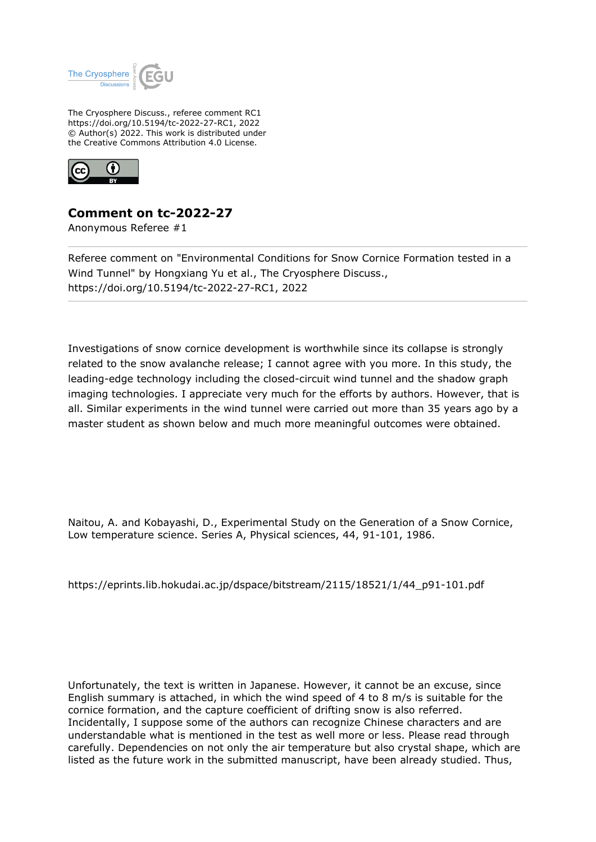

The Cryosphere Discuss., referee comment RC1 https://doi.org/10.5194/tc-2022-27-RC1, 2022 © Author(s) 2022. This work is distributed under the Creative Commons Attribution 4.0 License.



## **Comment on tc-2022-27**

Anonymous Referee #1

Referee comment on "Environmental Conditions for Snow Cornice Formation tested in a Wind Tunnel" by Hongxiang Yu et al., The Cryosphere Discuss., https://doi.org/10.5194/tc-2022-27-RC1, 2022

Investigations of snow cornice development is worthwhile since its collapse is strongly related to the snow avalanche release; I cannot agree with you more. In this study, the leading-edge technology including the closed-circuit wind tunnel and the shadow graph imaging technologies. I appreciate very much for the efforts by authors. However, that is all. Similar experiments in the wind tunnel were carried out more than 35 years ago by a master student as shown below and much more meaningful outcomes were obtained.

Naitou, A. and Kobayashi, D., Experimental Study on the Generation of a Snow Cornice, Low temperature science. Series A, Physical sciences, 44, 91-101, 1986.

https://eprints.lib.hokudai.ac.jp/dspace/bitstream/2115/18521/1/44\_p91-101.pdf

Unfortunately, the text is written in Japanese. However, it cannot be an excuse, since English summary is attached, in which the wind speed of 4 to 8 m/s is suitable for the cornice formation, and the capture coefficient of drifting snow is also referred. Incidentally, I suppose some of the authors can recognize Chinese characters and are understandable what is mentioned in the test as well more or less. Please read through carefully. Dependencies on not only the air temperature but also crystal shape, which are listed as the future work in the submitted manuscript, have been already studied. Thus,